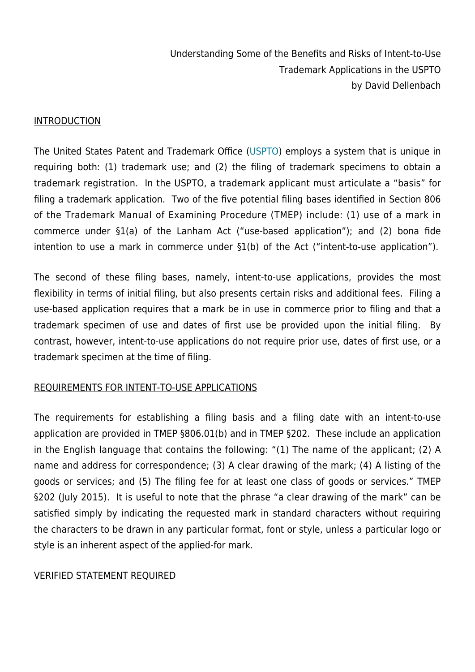#### INTRODUCTION

The United States Patent and Trademark Office ([USPTO](https://www.uspto.gov/)) employs a system that is unique in requiring both: (1) trademark use; and (2) the filing of trademark specimens to obtain a trademark registration. In the USPTO, a trademark applicant must articulate a "basis" for filing a trademark application. Two of the five potential filing bases identified in Section 806 of the Trademark Manual of Examining Procedure (TMEP) include: (1) use of a mark in commerce under §1(a) of the Lanham Act ("use-based application"); and (2) bona fide intention to use a mark in commerce under §1(b) of the Act ("intent-to-use application").

The second of these filing bases, namely, intent-to-use applications, provides the most flexibility in terms of initial filing, but also presents certain risks and additional fees. Filing a use-based application requires that a mark be in use in commerce prior to filing and that a trademark specimen of use and dates of first use be provided upon the initial filing. By contrast, however, intent-to-use applications do not require prior use, dates of first use, or a trademark specimen at the time of filing.

## REQUIREMENTS FOR INTENT-TO-USE APPLICATIONS

The requirements for establishing a filing basis and a filing date with an intent-to-use application are provided in TMEP §806.01(b) and in TMEP §202. These include an application in the English language that contains the following: "(1) The name of the applicant; (2) A name and address for correspondence; (3) A clear drawing of the mark; (4) A listing of the goods or services; and (5) The filing fee for at least one class of goods or services." TMEP §202 (July 2015). It is useful to note that the phrase "a clear drawing of the mark" can be satisfied simply by indicating the requested mark in standard characters without requiring the characters to be drawn in any particular format, font or style, unless a particular logo or style is an inherent aspect of the applied-for mark.

#### VERIFIED STATEMENT REQUIRED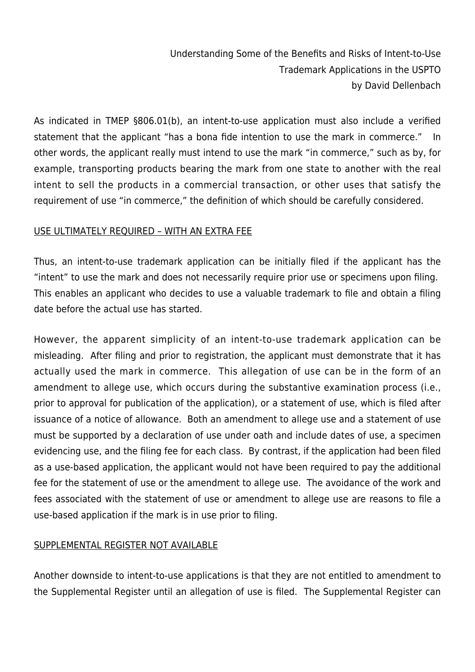As indicated in TMEP §806.01(b), an intent-to-use application must also include a verified statement that the applicant "has a bona fide intention to use the mark in commerce." In other words, the applicant really must intend to use the mark "in commerce," such as by, for example, transporting products bearing the mark from one state to another with the real intent to sell the products in a commercial transaction, or other uses that satisfy the requirement of use "in commerce," the definition of which should be carefully considered.

## USE ULTIMATELY REQUIRED – WITH AN EXTRA FEE

Thus, an intent-to-use trademark application can be initially filed if the applicant has the "intent" to use the mark and does not necessarily require prior use or specimens upon filing. This enables an applicant who decides to use a valuable trademark to file and obtain a filing date before the actual use has started.

However, the apparent simplicity of an intent-to-use trademark application can be misleading. After filing and prior to registration, the applicant must demonstrate that it has actually used the mark in commerce. This allegation of use can be in the form of an amendment to allege use, which occurs during the substantive examination process (i.e., prior to approval for publication of the application), or a statement of use, which is filed after issuance of a notice of allowance. Both an amendment to allege use and a statement of use must be supported by a declaration of use under oath and include dates of use, a specimen evidencing use, and the filing fee for each class. By contrast, if the application had been filed as a use-based application, the applicant would not have been required to pay the additional fee for the statement of use or the amendment to allege use. The avoidance of the work and fees associated with the statement of use or amendment to allege use are reasons to file a use-based application if the mark is in use prior to filing.

## SUPPLEMENTAL REGISTER NOT AVAILABLE

Another downside to intent-to-use applications is that they are not entitled to amendment to the Supplemental Register until an allegation of use is filed. The Supplemental Register can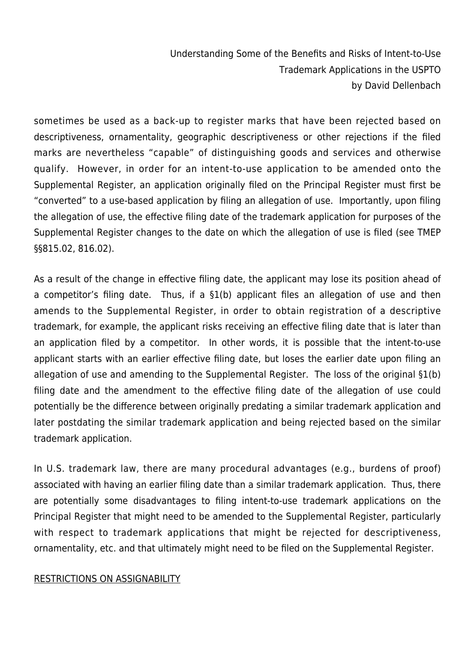sometimes be used as a back-up to register marks that have been rejected based on descriptiveness, ornamentality, geographic descriptiveness or other rejections if the filed marks are nevertheless "capable" of distinguishing goods and services and otherwise qualify. However, in order for an intent-to-use application to be amended onto the Supplemental Register, an application originally filed on the Principal Register must first be "converted" to a use-based application by filing an allegation of use. Importantly, upon filing the allegation of use, the effective filing date of the trademark application for purposes of the Supplemental Register changes to the date on which the allegation of use is filed (see TMEP §§815.02, 816.02).

As a result of the change in effective filing date, the applicant may lose its position ahead of a competitor's filing date. Thus, if a §1(b) applicant files an allegation of use and then amends to the Supplemental Register, in order to obtain registration of a descriptive trademark, for example, the applicant risks receiving an effective filing date that is later than an application filed by a competitor. In other words, it is possible that the intent-to-use applicant starts with an earlier effective filing date, but loses the earlier date upon filing an allegation of use and amending to the Supplemental Register. The loss of the original §1(b) filing date and the amendment to the effective filing date of the allegation of use could potentially be the difference between originally predating a similar trademark application and later postdating the similar trademark application and being rejected based on the similar trademark application.

In U.S. trademark law, there are many procedural advantages (e.g., burdens of proof) associated with having an earlier filing date than a similar trademark application. Thus, there are potentially some disadvantages to filing intent-to-use trademark applications on the Principal Register that might need to be amended to the Supplemental Register, particularly with respect to trademark applications that might be rejected for descriptiveness, ornamentality, etc. and that ultimately might need to be filed on the Supplemental Register.

## RESTRICTIONS ON ASSIGNABILITY